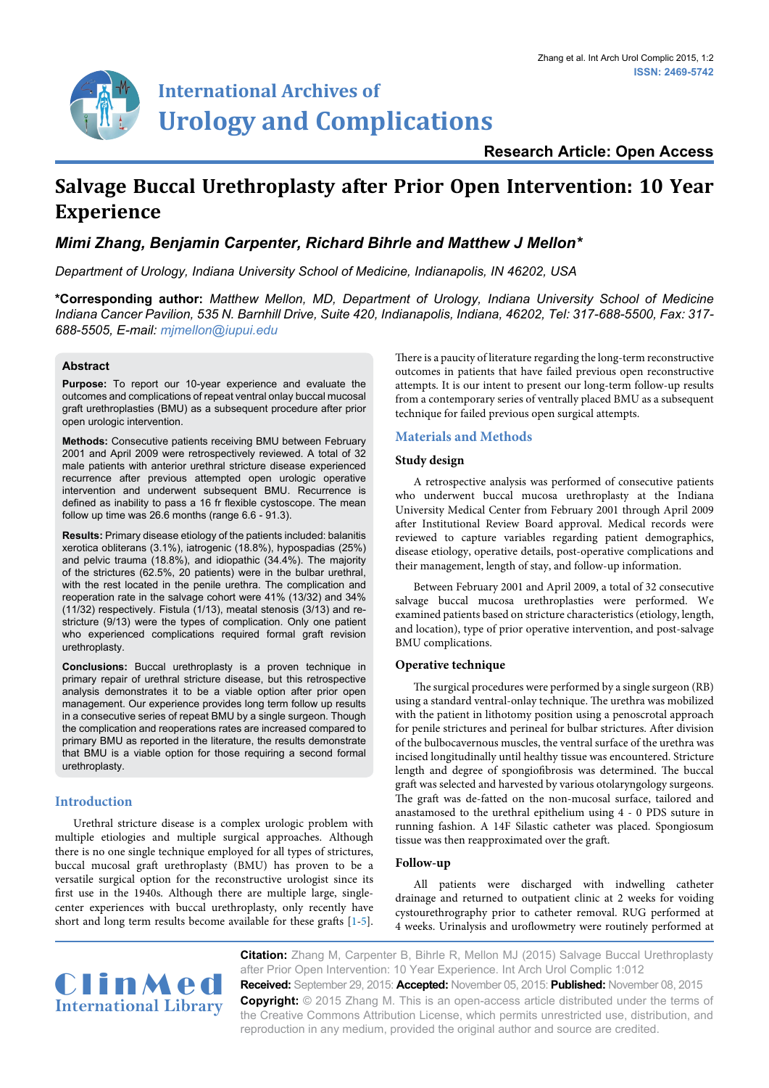

# **Salvage Buccal Urethroplasty after Prior Open Intervention: 10 Year Experience**

# *Mimi Zhang, Benjamin Carpenter, Richard Bihrle and Matthew J Mellon\**

*Department of Urology, Indiana University School of Medicine, Indianapolis, IN 46202, USA*

**\*Corresponding author:** *Matthew Mellon, MD, Department of Urology, Indiana University School of Medicine Indiana Cancer Pavilion, 535 N. Barnhill Drive, Suite 420, Indianapolis, Indiana, 46202, Tel: 317-688-5500, Fax: 317- 688-5505, E-mail: mjmellon@iupui.edu*

#### **Abstract**

**Purpose:** To report our 10-year experience and evaluate the outcomes and complications of repeat ventral onlay buccal mucosal graft urethroplasties (BMU) as a subsequent procedure after prior open urologic intervention.

**Methods:** Consecutive patients receiving BMU between February 2001 and April 2009 were retrospectively reviewed. A total of 32 male patients with anterior urethral stricture disease experienced recurrence after previous attempted open urologic operative intervention and underwent subsequent BMU. Recurrence is defined as inability to pass a 16 fr flexible cystoscope. The mean follow up time was 26.6 months (range 6.6 - 91.3).

**Results:** Primary disease etiology of the patients included: balanitis xerotica obliterans (3.1%), iatrogenic (18.8%), hypospadias (25%) and pelvic trauma (18.8%), and idiopathic (34.4%). The majority of the strictures (62.5%, 20 patients) were in the bulbar urethral, with the rest located in the penile urethra. The complication and reoperation rate in the salvage cohort were 41% (13/32) and 34% (11/32) respectively. Fistula (1/13), meatal stenosis (3/13) and restricture (9/13) were the types of complication. Only one patient who experienced complications required formal graft revision urethroplasty.

**Conclusions:** Buccal urethroplasty is a proven technique in primary repair of urethral stricture disease, but this retrospective analysis demonstrates it to be a viable option after prior open management. Our experience provides long term follow up results in a consecutive series of repeat BMU by a single surgeon. Though the complication and reoperations rates are increased compared to primary BMU as reported in the literature, the results demonstrate that BMU is a viable option for those requiring a second formal urethroplasty.

## **Introduction**

Urethral stricture disease is a complex urologic problem with multiple etiologies and multiple surgical approaches. Although there is no one single technique employed for all types of strictures, buccal mucosal graft urethroplasty (BMU) has proven to be a versatile surgical option for the reconstructive urologist since its first use in the 1940s. Although there are multiple large, singlecenter experiences with buccal urethroplasty, only recently have short and long term results become available for these grafts [\[1](#page-2-0)-[5\]](#page-2-1).

There is a paucity of literature regarding the long-term reconstructive outcomes in patients that have failed previous open reconstructive attempts. It is our intent to present our long-term follow-up results from a contemporary series of ventrally placed BMU as a subsequent technique for failed previous open surgical attempts.

#### **Materials and Methods**

#### **Study design**

A retrospective analysis was performed of consecutive patients who underwent buccal mucosa urethroplasty at the Indiana University Medical Center from February 2001 through April 2009 after Institutional Review Board approval. Medical records were reviewed to capture variables regarding patient demographics, disease etiology, operative details, post-operative complications and their management, length of stay, and follow-up information.

Between February 2001 and April 2009, a total of 32 consecutive salvage buccal mucosa urethroplasties were performed. We examined patients based on stricture characteristics (etiology, length, and location), type of prior operative intervention, and post-salvage BMU complications.

## **Operative technique**

The surgical procedures were performed by a single surgeon (RB) using a standard ventral-onlay technique. The urethra was mobilized with the patient in lithotomy position using a penoscrotal approach for penile strictures and perineal for bulbar strictures. After division of the bulbocavernous muscles, the ventral surface of the urethra was incised longitudinally until healthy tissue was encountered. Stricture length and degree of spongiofibrosis was determined. The buccal graft was selected and harvested by various otolaryngology surgeons. The graft was de-fatted on the non-mucosal surface, tailored and anastamosed to the urethral epithelium using 4 - 0 PDS suture in running fashion. A 14F Silastic catheter was placed. Spongiosum tissue was then reapproximated over the graft.

#### **Follow-up**

All patients were discharged with indwelling catheter drainage and returned to outpatient clinic at 2 weeks for voiding cystourethrography prior to catheter removal. RUG performed at 4 weeks. Urinalysis and uroflowmetry were routinely performed at



**Citation:** Zhang M, Carpenter B, Bihrle R, Mellon MJ (2015) Salvage Buccal Urethroplasty after Prior Open Intervention: 10 Year Experience. Int Arch Urol Complic 1:012 **Received:** September 29, 2015: **Accepted:** November 05, 2015: **Published:** November 08, 2015 **Copyright:** © 2015 Zhang M. This is an open-access article distributed under the terms of

the Creative Commons Attribution License, which permits unrestricted use, distribution, and reproduction in any medium, provided the original author and source are credited.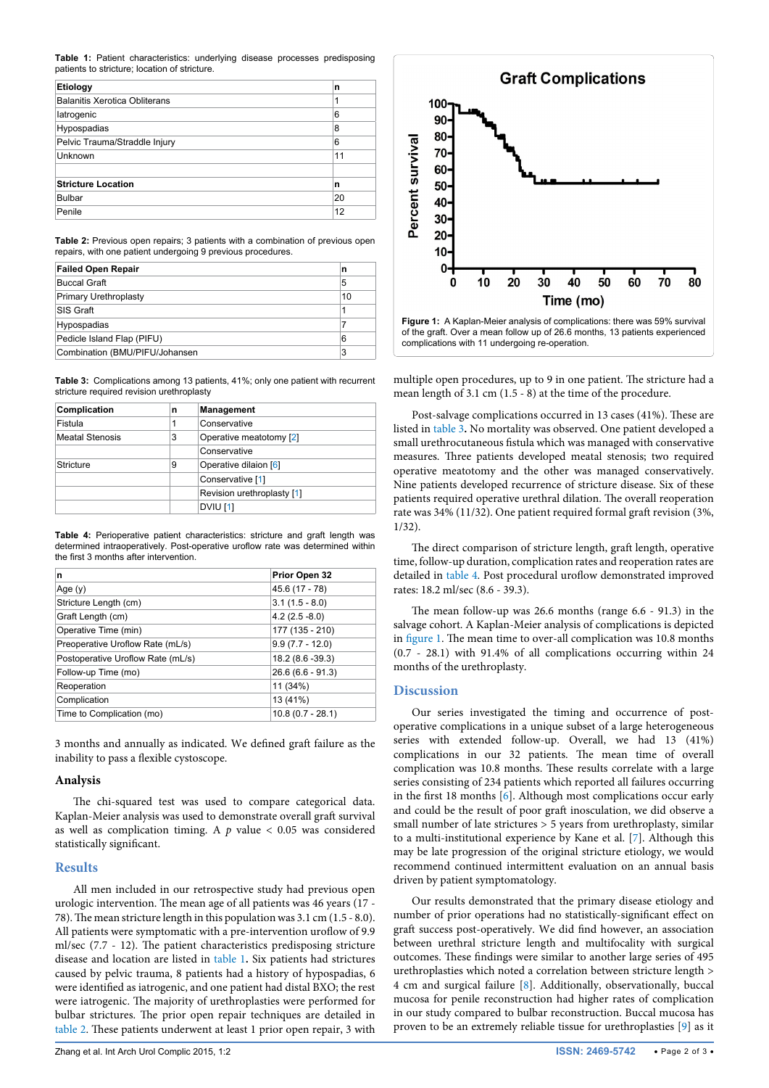<span id="page-1-0"></span>**Table 1:** Patient characteristics: underlying disease processes predisposing patients to stricture; location of stricture.

| Etiology                      | n  |
|-------------------------------|----|
| Balanitis Xerotica Obliterans | 1  |
| latrogenic                    | 6  |
| Hypospadias                   | 8  |
| Pelvic Trauma/Straddle Injury | 6  |
| Unknown                       | 11 |
|                               |    |
| <b>Stricture Location</b>     | n  |
| <b>Bulbar</b>                 | 20 |
| Penile                        | 12 |

<span id="page-1-1"></span>**Table 2:** Previous open repairs; 3 patients with a combination of previous open repairs, with one patient undergoing 9 previous procedures.

| <b>Failed Open Repair</b>       | n  |
|---------------------------------|----|
| <b>Buccal Graft</b>             | 5  |
| Primary Urethroplasty           | 10 |
| <b>SIS Graft</b>                | 1  |
| Hypospadias                     |    |
| Pedicle Island Flap (PIFU)      | 6  |
| Combination (BMU/PIFU/Johansen) | 3  |

<span id="page-1-2"></span>**Table 3:** Complications among 13 patients, 41%; only one patient with recurrent stricture required revision urethroplasty

| Complication           | n | <b>Management</b>          |  |
|------------------------|---|----------------------------|--|
| Fistula                | 1 | Conservative               |  |
| <b>Meatal Stenosis</b> | 3 | Operative meatotomy [2]    |  |
|                        |   | Conservative               |  |
| <b>Stricture</b><br>9  |   | Operative dilaion [6]      |  |
|                        |   | Conservative [1]           |  |
|                        |   | Revision urethroplasty [1] |  |
|                        |   | <b>DVIU [1]</b>            |  |

<span id="page-1-3"></span>**Table 4:** Perioperative patient characteristics: stricture and graft length was determined intraoperatively. Post-operative uroflow rate was determined within the first 3 months after intervention.

| n                                 | Prior Open 32      |
|-----------------------------------|--------------------|
| Age $(y)$                         | 45.6 (17 - 78)     |
| Stricture Length (cm)             | $3.1(1.5 - 8.0)$   |
| Graft Length (cm)                 | $4.2(2.5 - 8.0)$   |
| Operative Time (min)              | 177 (135 - 210)    |
| Preoperative Uroflow Rate (mL/s)  | $9.9(7.7 - 12.0)$  |
| Postoperative Uroflow Rate (mL/s) | 18.2 (8.6 - 39.3)  |
| Follow-up Time (mo)               | $26.6(6.6 - 91.3)$ |
| Reoperation                       | 11 (34%)           |
| Complication                      | 13 (41%)           |
| Time to Complication (mo)         | $10.8(0.7 - 28.1)$ |

3 months and annually as indicated. We defined graft failure as the inability to pass a flexible cystoscope.

## **Analysis**

The chi-squared test was used to compare categorical data. Kaplan-Meier analysis was used to demonstrate overall graft survival as well as complication timing. A *p* value < 0.05 was considered statistically significant.

## **Results**

All men included in our retrospective study had previous open urologic intervention. The mean age of all patients was 46 years (17 - 78). The mean stricture length in this population was 3.1 cm (1.5 - 8.0). All patients were symptomatic with a pre-intervention uroflow of 9.9 ml/sec (7.7 - 12). The patient characteristics predisposing stricture disease and location are listed in [table 1](#page-1-0)**.** Six patients had strictures caused by pelvic trauma, 8 patients had a history of hypospadias, 6 were identified as iatrogenic, and one patient had distal BXO; the rest were iatrogenic. The majority of urethroplasties were performed for bulbar strictures. The prior open repair techniques are detailed in [table 2.](#page-1-1) These patients underwent at least 1 prior open repair, 3 with

<span id="page-1-4"></span>

multiple open procedures, up to 9 in one patient. The stricture had a mean length of 3.1 cm (1.5 - 8) at the time of the procedure.

Post-salvage complications occurred in 13 cases (41%). These are listed in [table 3](#page-1-2)**.** No mortality was observed. One patient developed a small urethrocutaneous fistula which was managed with conservative measures. Three patients developed meatal stenosis; two required operative meatotomy and the other was managed conservatively. Nine patients developed recurrence of stricture disease. Six of these patients required operative urethral dilation. The overall reoperation rate was 34% (11/32). One patient required formal graft revision (3%, 1/32).

The direct comparison of stricture length, graft length, operative time, follow-up duration, complication rates and reoperation rates are detailed in [table 4.](#page-1-3) Post procedural uroflow demonstrated improved rates: 18.2 ml/sec (8.6 - 39.3).

The mean follow-up was 26.6 months (range 6.6 - 91.3) in the salvage cohort. A Kaplan-Meier analysis of complications is depicted in [figure 1.](#page-1-4) The mean time to over-all complication was 10.8 months (0.7 - 28.1) with 91.4% of all complications occurring within 24 months of the urethroplasty.

## **Discussion**

Our series investigated the timing and occurrence of postoperative complications in a unique subset of a large heterogeneous series with extended follow-up. Overall, we had 13 (41%) complications in our 32 patients. The mean time of overall complication was 10.8 months. These results correlate with a large series consisting of 234 patients which reported all failures occurring in the first 18 months [[6\]](#page-2-2). Although most complications occur early and could be the result of poor graft inosculation, we did observe a small number of late strictures > 5 years from urethroplasty, similar to a multi-institutional experience by Kane et al. [[7](#page-2-3)]. Although this may be late progression of the original stricture etiology, we would recommend continued intermittent evaluation on an annual basis driven by patient symptomatology.

Our results demonstrated that the primary disease etiology and number of prior operations had no statistically-significant effect on graft success post-operatively. We did find however, an association between urethral stricture length and multifocality with surgical outcomes. These findings were similar to another large series of 495 urethroplasties which noted a correlation between stricture length > 4 cm and surgical failure [\[8\]](#page-2-4). Additionally, observationally, buccal mucosa for penile reconstruction had higher rates of complication in our study compared to bulbar reconstruction. Buccal mucosa has proven to be an extremely reliable tissue for urethroplasties [[9](#page-2-5)] as it